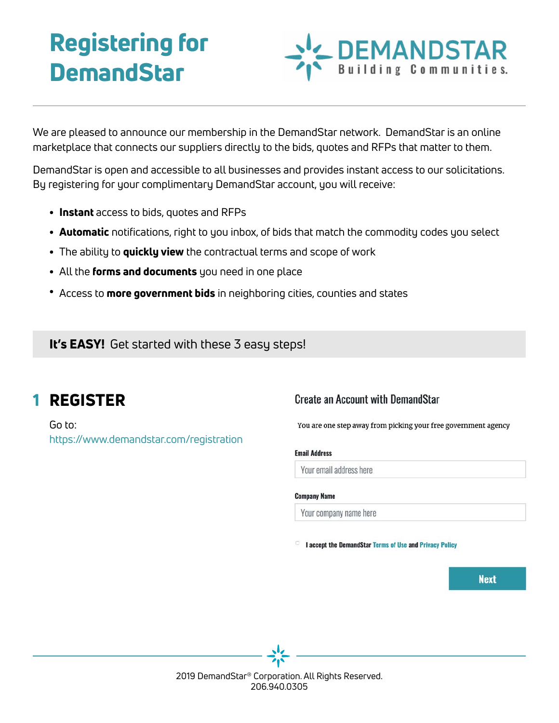# Registering for **DemandStar**

We are pleased to announce our membership in the DemandStar network. DemandStar is an online marketplace that connects our suppliers directly to the bids, quotes and RFPs that matter to them.

DemandStar is open and accessible to all businesses and provides instant access to our solicitations. By registering for your complimentary DemandStar account, you will receive:

- Instant access to bids, quotes and RFPs
- **Automatic** notifications, right to you inbox, of bids that match the commodity codes you select
- The ability to **quickly view** the contractual terms and scope of work
- All the forms and documents you need in one place
- Access to more government bids in neighboring cities, counties and states

It's EASY! Get started with these 3 easy steps!

#### REGISTER 1

Go to: <https://www.demandstar.com/registration>

### **Create an Account with DemandStar**

You are one step away from picking your free government agency

**DEMANDSTAR**<br>Building Communities.

#### **Email Address**

Your email address here

#### **Company Name**

Your company name here

I accept the DemandStar Terms of Use and Privacy Policy

**Next**